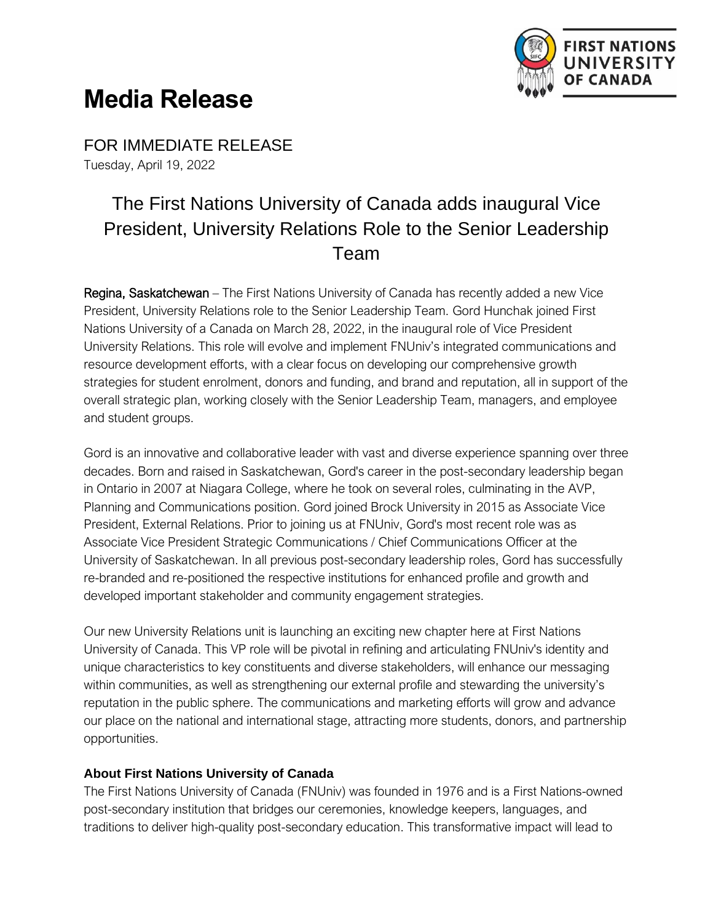

## **Media Release**

FOR IMMEDIATE RELEASE Tuesday, April 19, 2022

## The First Nations University of Canada adds inaugural Vice President, University Relations Role to the Senior Leadership Team

Regina, Saskatchewan – The First Nations University of Canada has recently added a new Vice President, University Relations role to the Senior Leadership Team. Gord Hunchak joined First Nations University of a Canada on March 28, 2022, in the inaugural role of Vice President University Relations. This role will evolve and implement FNUniv's integrated communications and resource development efforts, with a clear focus on developing our comprehensive growth strategies for student enrolment, donors and funding, and brand and reputation, all in support of the overall strategic plan, working closely with the Senior Leadership Team, managers, and employee and student groups.

Gord is an innovative and collaborative leader with vast and diverse experience spanning over three decades. Born and raised in Saskatchewan, Gord's career in the post-secondary leadership began in Ontario in 2007 at Niagara College, where he took on several roles, culminating in the AVP, Planning and Communications position. Gord joined Brock University in 2015 as Associate Vice President, External Relations. Prior to joining us at FNUniv, Gord's most recent role was as Associate Vice President Strategic Communications / Chief Communications Officer at the University of Saskatchewan. In all previous post-secondary leadership roles, Gord has successfully re-branded and re-positioned the respective institutions for enhanced profile and growth and developed important stakeholder and community engagement strategies.

Our new University Relations unit is launching an exciting new chapter here at First Nations University of Canada. This VP role will be pivotal in refining and articulating FNUniv's identity and unique characteristics to key constituents and diverse stakeholders, will enhance our messaging within communities, as well as strengthening our external profile and stewarding the university's reputation in the public sphere. The communications and marketing efforts will grow and advance our place on the national and international stage, attracting more students, donors, and partnership opportunities.

## **About First Nations University of Canada**

The First Nations University of Canada (FNUniv) was founded in 1976 and is a First Nations-owned post-secondary institution that bridges our ceremonies, knowledge keepers, languages, and traditions to deliver high-quality post-secondary education. This transformative impact will lead to